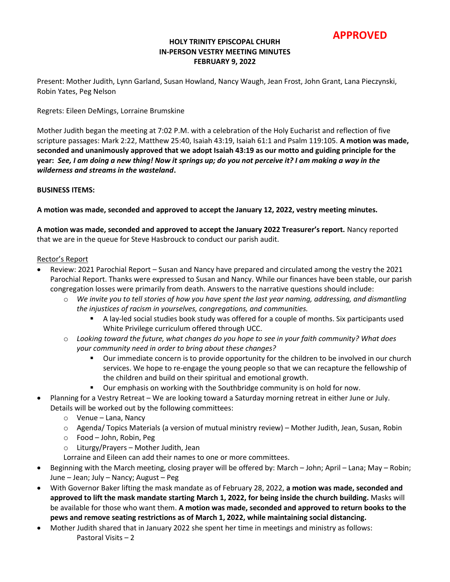**APPROVED**

### **HOLY TRINITY EPISCOPAL CHURH IN-PERSON VESTRY MEETING MINUTES FEBRUARY 9, 2022**

Present: Mother Judith, Lynn Garland, Susan Howland, Nancy Waugh, Jean Frost, John Grant, Lana Pieczynski, Robin Yates, Peg Nelson

Regrets: Eileen DeMings, Lorraine Brumskine

Mother Judith began the meeting at 7:02 P.M. with a celebration of the Holy Eucharist and reflection of five scripture passages: Mark 2:22, Matthew 25:40, Isaiah 43:19, Isaiah 61:1 and Psalm 119:105. **A motion was made, seconded and unanimously approved that we adopt Isaiah 43:19 as our motto and guiding principle for the year:** *See, I am doing a new thing! Now it springs up; do you not perceive it? I am making a way in the wilderness and streams in the wasteland***.**

#### **BUSINESS ITEMS:**

**A motion was made, seconded and approved to accept the January 12, 2022, vestry meeting minutes.**

**A motion was made, seconded and approved to accept the January 2022 Treasurer's report.** Nancy reported that we are in the queue for Steve Hasbrouck to conduct our parish audit.

#### Rector's Report

- Review: 2021 Parochial Report Susan and Nancy have prepared and circulated among the vestry the 2021 Parochial Report. Thanks were expressed to Susan and Nancy. While our finances have been stable, our parish congregation losses were primarily from death. Answers to the narrative questions should include:
	- o *We invite you to tell stories of how you have spent the last year naming, addressing, and dismantling the injustices of racism in yourselves, congregations, and communities.* 
		- A lay-led social studies book study was offered for a couple of months. Six participants used White Privilege curriculum offered through UCC.
	- o *Looking toward the future, what changes do you hope to see in your faith community? What does your community need in order to bring about these changes?*
		- Our immediate concern is to provide opportunity for the children to be involved in our church services. We hope to re-engage the young people so that we can recapture the fellowship of the children and build on their spiritual and emotional growth.
		- **•** Our emphasis on working with the Southbridge community is on hold for now.
- Planning for a Vestry Retreat We are looking toward a Saturday morning retreat in either June or July. Details will be worked out by the following committees:
	- o Venue Lana, Nancy
	- o Agenda/ Topics Materials (a version of mutual ministry review) Mother Judith, Jean, Susan, Robin
	- o Food John, Robin, Peg
	- o Liturgy/Prayers Mother Judith, Jean
	- Lorraine and Eileen can add their names to one or more committees.
- Beginning with the March meeting, closing prayer will be offered by: March John; April Lana; May Robin; June – Jean; July – Nancy; August – Peg
- With Governor Baker lifting the mask mandate as of February 28, 2022, **a motion was made, seconded and approved to lift the mask mandate starting March 1, 2022, for being inside the church building.** Masks will be available for those who want them. **A motion was made, seconded and approved to return books to the pews and remove seating restrictions as of March 1, 2022, while maintaining social distancing.**
- Mother Judith shared that in January 2022 she spent her time in meetings and ministry as follows: Pastoral Visits – 2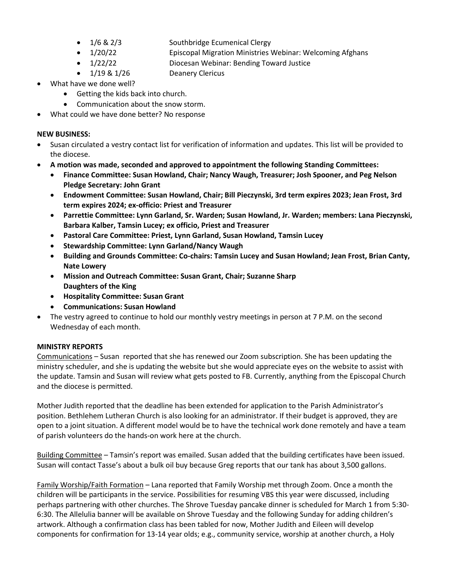- 1/6 & 2/3 Southbridge Ecumenical Clergy
- 1/20/22 Episcopal Migration Ministries Webinar: Welcoming Afghans
- 1/22/22 Diocesan Webinar: Bending Toward Justice

• 1/19 & 1/26 Deanery Clericus

- What have we done well?
	- Getting the kids back into church.
	- Communication about the snow storm.
	- What could we have done better? No response

## **NEW BUSINESS:**

- Susan circulated a vestry contact list for verification of information and updates. This list will be provided to the diocese.
- **A motion was made, seconded and approved to appointment the following Standing Committees:**
	- **Finance Committee: Susan Howland, Chair; Nancy Waugh, Treasurer; Josh Spooner, and Peg Nelson Pledge Secretary: John Grant**
	- **Endowment Committee: Susan Howland, Chair; Bill Pieczynski, 3rd term expires 2023; Jean Frost, 3rd term expires 2024; ex-officio: Priest and Treasurer**
	- **Parrettie Committee: Lynn Garland, Sr. Warden; Susan Howland, Jr. Warden; members: Lana Pieczynski, Barbara Kalber, Tamsin Lucey; ex officio, Priest and Treasurer**
	- **Pastoral Care Committee: Priest, Lynn Garland, Susan Howland, Tamsin Lucey**
	- **Stewardship Committee: Lynn Garland/Nancy Waugh**
	- **Building and Grounds Committee: Co-chairs: Tamsin Lucey and Susan Howland; Jean Frost, Brian Canty, Nate Lowery**
	- **Mission and Outreach Committee: Susan Grant, Chair; Suzanne Sharp Daughters of the King**
	- **Hospitality Committee: Susan Grant**
	- **Communications: Susan Howland**
- The vestry agreed to continue to hold our monthly vestry meetings in person at 7 P.M. on the second Wednesday of each month.

# **MINISTRY REPORTS**

Communications – Susan reported that she has renewed our Zoom subscription. She has been updating the ministry scheduler, and she is updating the website but she would appreciate eyes on the website to assist with the update. Tamsin and Susan will review what gets posted to FB. Currently, anything from the Episcopal Church and the diocese is permitted.

Mother Judith reported that the deadline has been extended for application to the Parish Administrator's position. Bethlehem Lutheran Church is also looking for an administrator. If their budget is approved, they are open to a joint situation. A different model would be to have the technical work done remotely and have a team of parish volunteers do the hands-on work here at the church.

Building Committee – Tamsin's report was emailed. Susan added that the building certificates have been issued. Susan will contact Tasse's about a bulk oil buy because Greg reports that our tank has about 3,500 gallons.

Family Worship/Faith Formation – Lana reported that Family Worship met through Zoom. Once a month the children will be participants in the service. Possibilities for resuming VBS this year were discussed, including perhaps partnering with other churches. The Shrove Tuesday pancake dinner is scheduled for March 1 from 5:30- 6:30. The Allelulia banner will be available on Shrove Tuesday and the following Sunday for adding children's artwork. Although a confirmation class has been tabled for now, Mother Judith and Eileen will develop components for confirmation for 13-14 year olds; e.g., community service, worship at another church, a Holy